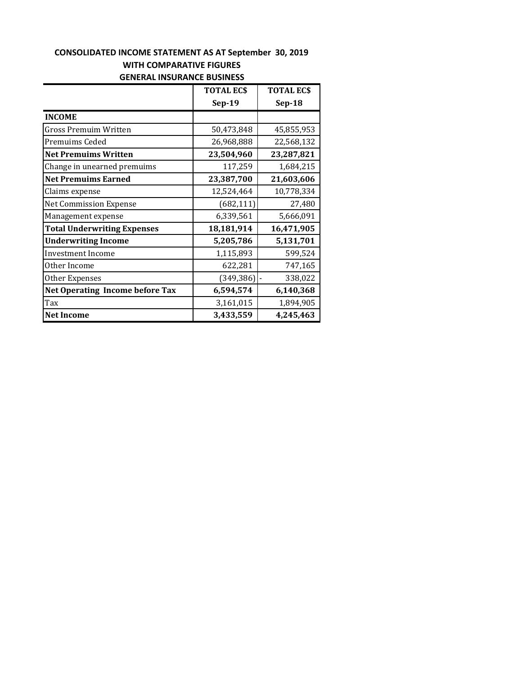# **CONSOLIDATED INCOME STATEMENT AS AT September 30, 2019 WITH COMPARATIVE FIGURES GENERAL INSURANCE BUSINESS**

|                                        | <b>TOTAL ECS</b> | <b>TOTAL ECS</b> |
|----------------------------------------|------------------|------------------|
|                                        | $Sep-19$         | $Sep-18$         |
| <b>INCOME</b>                          |                  |                  |
| Gross Premuim Written                  | 50,473,848       | 45,855,953       |
| Premuims Ceded                         | 26,968,888       | 22,568,132       |
| <b>Net Premuims Written</b>            | 23,504,960       | 23,287,821       |
| Change in unearned premuims            | 117,259          | 1,684,215        |
| <b>Net Premuims Earned</b>             | 23,387,700       | 21,603,606       |
| Claims expense                         | 12,524,464       | 10,778,334       |
| <b>Net Commission Expense</b>          | (682, 111)       | 27,480           |
| Management expense                     | 6,339,561        | 5,666,091        |
| <b>Total Underwriting Expenses</b>     | 18,181,914       | 16,471,905       |
| <b>Underwriting Income</b>             | 5,205,786        | 5,131,701        |
| <b>Investment Income</b>               | 1,115,893        | 599,524          |
| Other Income                           | 622,281          | 747,165          |
| Other Expenses                         | (349, 386)       | 338,022          |
| <b>Net Operating Income before Tax</b> | 6,594,574        | 6,140,368        |
| Tax                                    | 3,161,015        | 1,894,905        |
| <b>Net Income</b>                      | 3,433,559        | 4,245,463        |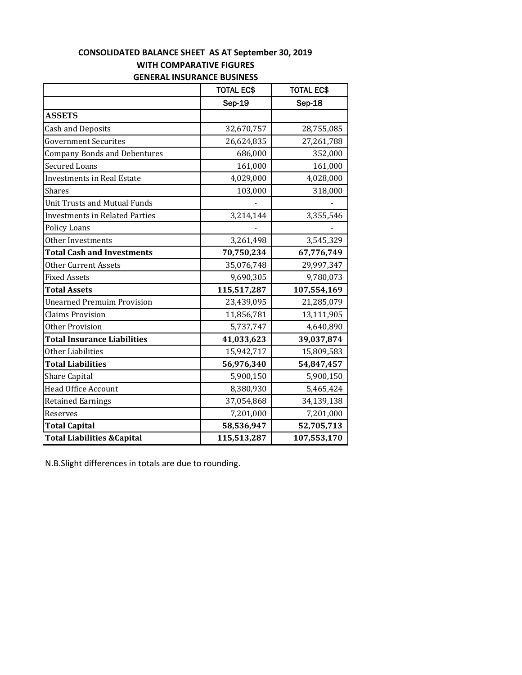#### **CONSOLIDATED BALANCE SHEET AS AT September 30, 2019 WITH COMPARATIVE FIGURES GENERAL INSURANCE BUSINESS**

|                                        | <b>TOTAL EC\$</b> | <b>TOTAL EC\$</b> |
|----------------------------------------|-------------------|-------------------|
|                                        | Sep-19            | Sep-18            |
| <b>ASSETS</b>                          |                   |                   |
| <b>Cash and Deposits</b>               | 32,670,757        | 28,755,085        |
| <b>Government Securites</b>            | 26,624,835        | 27,261,788        |
| <b>Company Bonds and Debentures</b>    | 686,000           | 352,000           |
| <b>Secured Loans</b>                   | 161,000           | 161,000           |
| <b>Investments in Real Estate</b>      | 4,029,000         | 4,028,000         |
| Shares                                 | 103,000           | 318,000           |
| <b>Unit Trusts and Mutual Funds</b>    |                   |                   |
| <b>Investments in Related Parties</b>  | 3,214,144         | 3,355,546         |
| Policy Loans                           |                   |                   |
| Other Investments                      | 3,261,498         | 3,545,329         |
| <b>Total Cash and Investments</b>      | 70,750,234        | 67,776,749        |
| <b>Other Current Assets</b>            | 35,076,748        | 29,997,347        |
| <b>Fixed Assets</b>                    | 9,690,305         | 9,780,073         |
| <b>Total Assets</b>                    | 115,517,287       | 107,554,169       |
| <b>Unearned Premuim Provision</b>      | 23,439,095        | 21,285,079        |
| <b>Claims Provision</b>                | 11,856,781        | 13,111,905        |
| <b>Other Provision</b>                 | 5,737,747         | 4,640,890         |
| <b>Total Insurance Liabilities</b>     | 41,033,623        | 39,037,874        |
| Other Liabilities                      | 15,942,717        | 15,809,583        |
| <b>Total Liabilities</b>               | 56,976,340        | 54,847,457        |
| Share Capital                          | 5,900,150         | 5,900,150         |
| <b>Head Office Account</b>             | 8,380,930         | 5,465,424         |
| <b>Retained Earnings</b>               | 37,054,868        | 34,139,138        |
| Reserves                               | 7,201,000         | 7,201,000         |
| <b>Total Capital</b>                   | 58,536,947        | 52,705,713        |
| <b>Total Liabilities &amp; Capital</b> | 115,513,287       | 107,553,170       |

N.B.Slight differences in totals are due to rounding.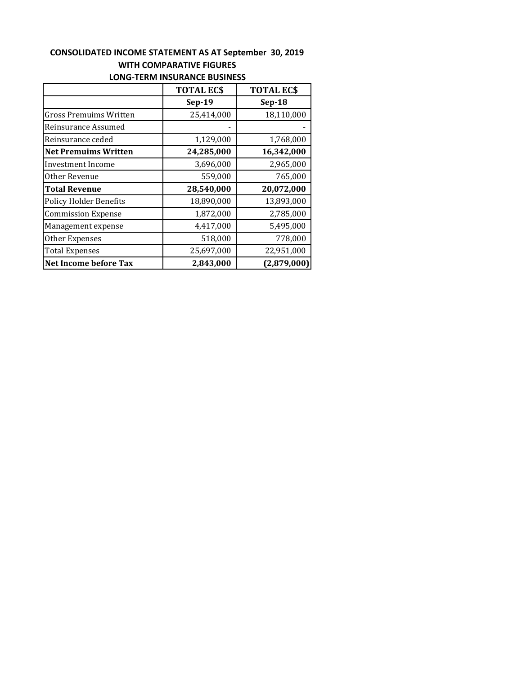## **CONSOLIDATED INCOME STATEMENT AS AT September 30, 2019 WITH COMPARATIVE FIGURES LONG‐TERM INSURANCE BUSINESS**

| LONG TERMITIVOORANGE DOSINESS |                  |                  |  |
|-------------------------------|------------------|------------------|--|
|                               | <b>TOTAL ECS</b> | <b>TOTAL ECS</b> |  |
|                               | $Sep-19$         | $Sep-18$         |  |
| <b>Gross Premuims Written</b> | 25,414,000       | 18,110,000       |  |
| Reinsurance Assumed           |                  |                  |  |
| Reinsurance ceded             | 1,129,000        | 1,768,000        |  |
| <b>Net Premuims Written</b>   | 24,285,000       | 16,342,000       |  |
| Investment Income             | 3,696,000        | 2,965,000        |  |
| Other Revenue                 | 559,000          | 765,000          |  |
| <b>Total Revenue</b>          | 28,540,000       | 20,072,000       |  |
| <b>Policy Holder Benefits</b> | 18,890,000       | 13,893,000       |  |
| <b>Commission Expense</b>     | 1,872,000        | 2,785,000        |  |
| Management expense            | 4,417,000        | 5,495,000        |  |
| Other Expenses                | 518,000          | 778,000          |  |
| <b>Total Expenses</b>         | 25,697,000       | 22,951,000       |  |
| <b>Net Income before Tax</b>  | 2,843,000        | (2,879,000)      |  |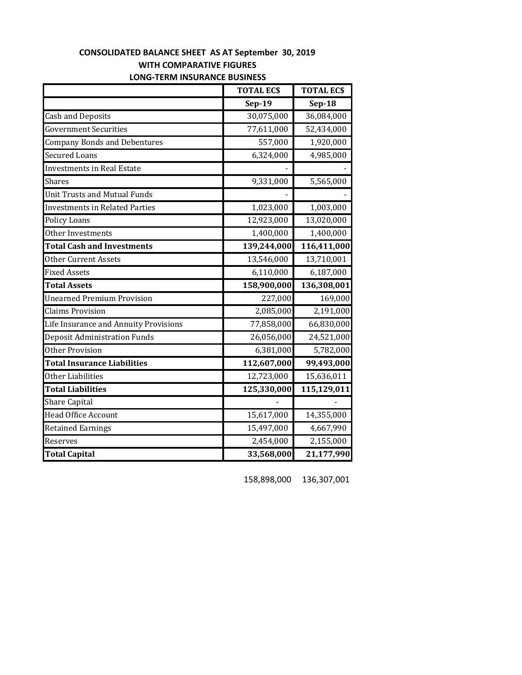|                                       | <b>TOTAL ECS</b> | <b>TOTAL ECS</b> |  |  |
|---------------------------------------|------------------|------------------|--|--|
|                                       | $Sep-19$         | $Sep-18$         |  |  |
| <b>Cash and Deposits</b>              | 30,075,000       | 36,084,000       |  |  |
| <b>Government Securities</b>          | 77,611,000       | 52,434,000       |  |  |
| <b>Company Bonds and Debentures</b>   | 557,000          | 1,920,000        |  |  |
| Secured Loans                         | 6,324,000        | 4,985,000        |  |  |
| <b>Investments in Real Estate</b>     |                  |                  |  |  |
| Shares                                | 9,331,000        | 5,565,000        |  |  |
| Unit Trusts and Mutual Funds          |                  |                  |  |  |
| <b>Investments in Related Parties</b> | 1,023,000        | 1,003,000        |  |  |
| <b>Policy Loans</b>                   | 12,923,000       | 13,020,000       |  |  |
| Other Investments                     | 1,400,000        | 1,400,000        |  |  |
| <b>Total Cash and Investments</b>     | 139,244,000      | 116,411,000      |  |  |
| Other Current Assets                  | 13,546,000       | 13,710,001       |  |  |
| <b>Fixed Assets</b>                   | 6,110,000        | 6,187,000        |  |  |
| <b>Total Assets</b>                   | 158,900,000      | 136,308,001      |  |  |
| <b>Unearned Premium Provision</b>     | 227,000          | 169,000          |  |  |
| <b>Claims Provision</b>               | 2,085,000        | 2,191,000        |  |  |
| Life Insurance and Annuity Provisions | 77,858,000       | 66,830,000       |  |  |
| Deposit Administration Funds          | 26,056,000       | 24,521,000       |  |  |
| Other Provision                       | 6,381,000        | 5,782,000        |  |  |
| <b>Total Insurance Liabilities</b>    | 112,607,000      | 99,493,000       |  |  |
| Other Liabilities                     | 12,723,000       | 15,636,011       |  |  |
| <b>Total Liabilities</b>              | 125,330,000      | 115,129,011      |  |  |
| <b>Share Capital</b>                  |                  |                  |  |  |
| <b>Head Office Account</b>            | 15,617,000       | 14,355,000       |  |  |
| <b>Retained Earnings</b>              | 15,497,000       | 4,667,990        |  |  |
| Reserves                              | 2,454,000        | 2,155,000        |  |  |
| <b>Total Capital</b>                  | 33,568,000       | 21,177,990       |  |  |

#### **CONSOLIDATED BALANCE SHEET AS AT September 30, 2019 WITH COMPARATIVE FIGURES LONG‐TERM INSURANCE BUSINESS**

158,898,000 136,307,001